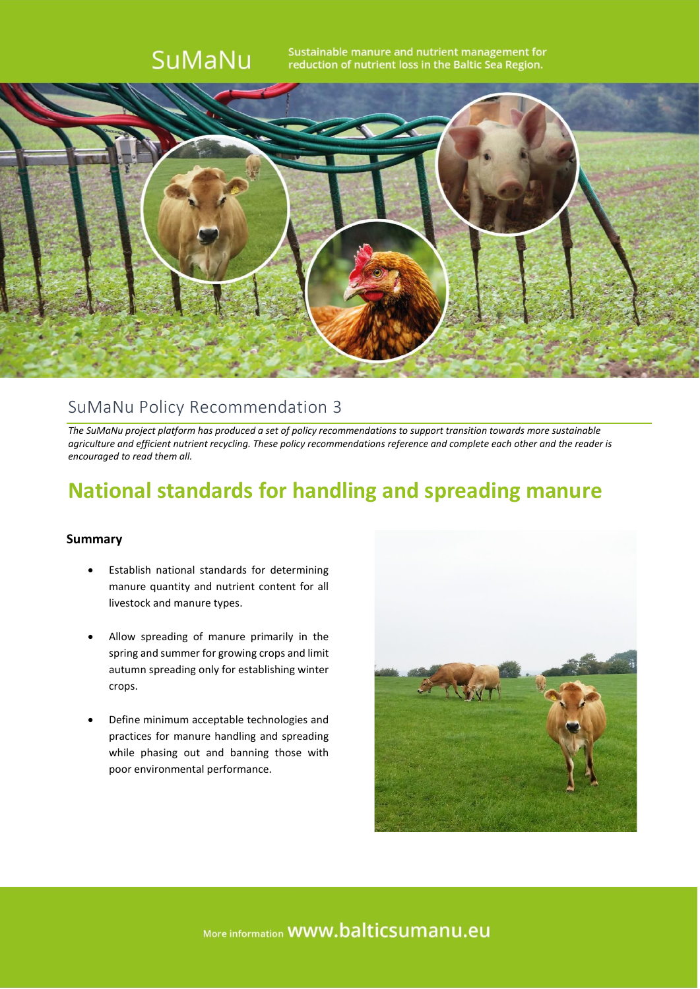

### SuMaNu Policy Recommendation 3

*The SuMaNu project platform has produced a set of policy recommendations to support transition towards more sustainable agriculture and efficient nutrient recycling. These policy recommendations reference and complete each other and the reader is encouraged to read them all.*

## **National standards for handling and spreading manure**

#### **Summary**

- Establish national standards for determining manure quantity and nutrient content for all livestock and manure types.
- Allow spreading of manure primarily in the spring and summer for growing crops and limit autumn spreading only for establishing winter crops.
- Define minimum acceptable technologies and practices for manure handling and spreading while phasing out and banning those with poor environmental performance.



More information **WWW.balticsumanu.eu**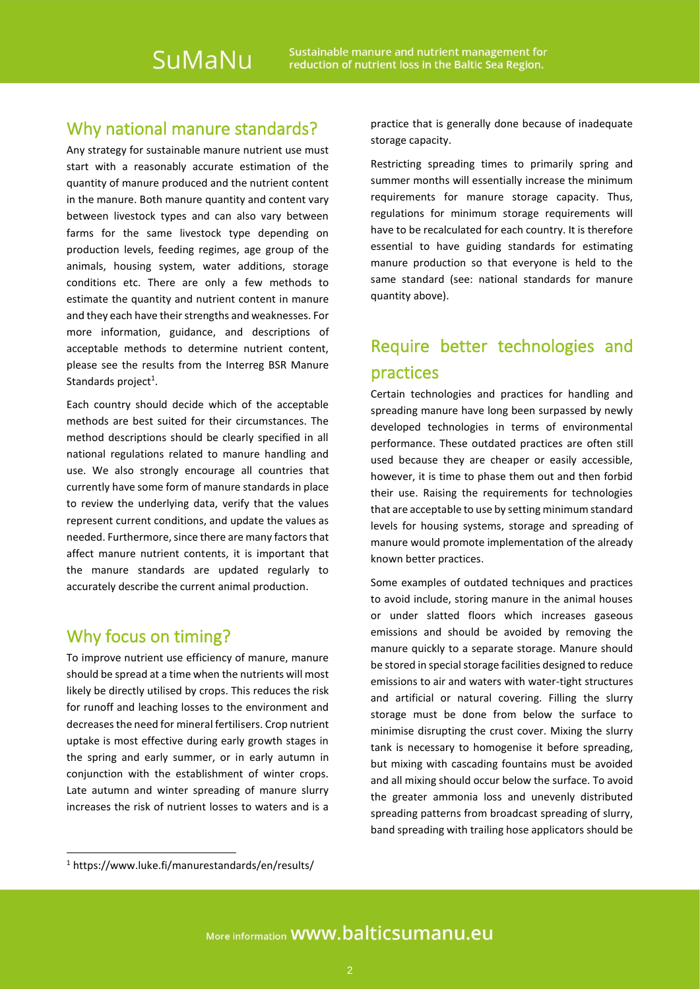### Why national manure standards?

Any strategy for sustainable manure nutrient use must start with a reasonably accurate estimation of the quantity of manure produced and the nutrient content in the manure. Both manure quantity and content vary between livestock types and can also vary between farms for the same livestock type depending on production levels, feeding regimes, age group of the animals, housing system, water additions, storage conditions etc. There are only a few methods to estimate the quantity and nutrient content in manure and they each have their strengths and weaknesses. For more information, guidance, and descriptions of acceptable methods to determine nutrient content, please see the results from the Interreg BSR Manure Standards project<sup>1</sup>.

Each country should decide which of the acceptable methods are best suited for their circumstances. The method descriptions should be clearly specified in all national regulations related to manure handling and use. We also strongly encourage all countries that currently have some form of manure standards in place to review the underlying data, verify that the values represent current conditions, and update the values as needed. Furthermore, since there are many factors that affect manure nutrient contents, it is important that the manure standards are updated regularly to accurately describe the current animal production.

### Why focus on timing?

To improve nutrient use efficiency of manure, manure should be spread at a time when the nutrients will most likely be directly utilised by crops. This reduces the risk for runoff and leaching losses to the environment and decreases the need for mineral fertilisers. Crop nutrient uptake is most effective during early growth stages in the spring and early summer, or in early autumn in conjunction with the establishment of winter crops. Late autumn and winter spreading of manure slurry increases the risk of nutrient losses to waters and is a

practice that is generally done because of inadequate storage capacity.

Restricting spreading times to primarily spring and summer months will essentially increase the minimum requirements for manure storage capacity. Thus, regulations for minimum storage requirements will have to be recalculated for each country. It is therefore essential to have guiding standards for estimating manure production so that everyone is held to the same standard (see: national standards for manure quantity above).

## Require better technologies and practices

Certain technologies and practices for handling and spreading manure have long been surpassed by newly developed technologies in terms of environmental performance. These outdated practices are often still used because they are cheaper or easily accessible, however, it is time to phase them out and then forbid their use. Raising the requirements for technologies that are acceptable to use by setting minimum standard levels for housing systems, storage and spreading of manure would promote implementation of the already known better practices.

Some examples of outdated techniques and practices to avoid include, storing manure in the animal houses or under slatted floors which increases gaseous emissions and should be avoided by removing the manure quickly to a separate storage. Manure should be stored in special storage facilities designed to reduce emissions to air and waters with water-tight structures and artificial or natural covering. Filling the slurry storage must be done from below the surface to minimise disrupting the crust cover. Mixing the slurry tank is necessary to homogenise it before spreading, but mixing with cascading fountains must be avoided and all mixing should occur below the surface. To avoid the greater ammonia loss and unevenly distributed spreading patterns from broadcast spreading of slurry, band spreading with trailing hose applicators should be

<sup>1</sup> https://www.luke.fi/manurestandards/en/results/